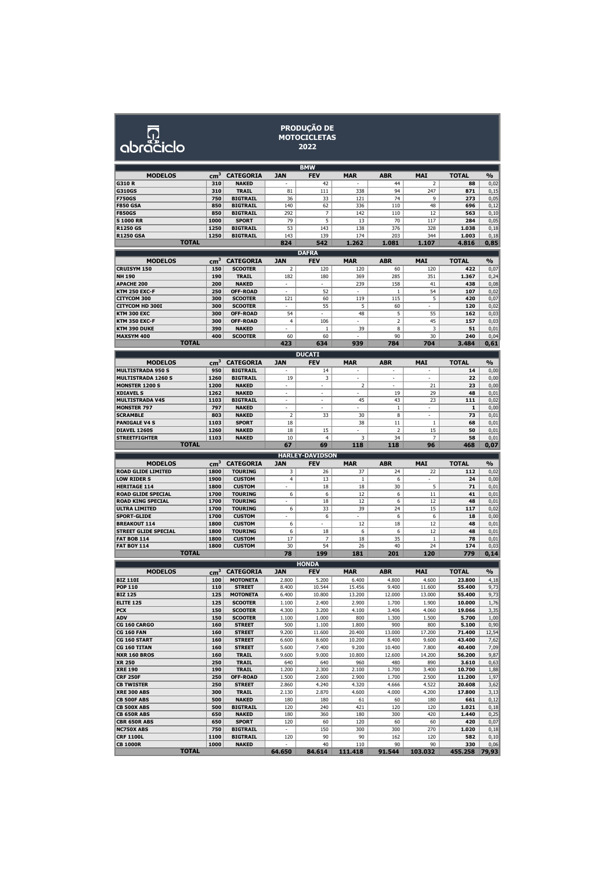| O         |
|-----------|
| abraciclo |

## **PRODUÇÃO DE MOTOCICLETAS 2022**

|                                           |                 |                                  |                                                      | <b>BMW</b>             |                                 |                |                |                 |               |
|-------------------------------------------|-----------------|----------------------------------|------------------------------------------------------|------------------------|---------------------------------|----------------|----------------|-----------------|---------------|
| <b>MODELOS</b>                            | cm <sup>3</sup> | <b>CATEGORIA</b>                 | <b>JAN</b>                                           | <b>FEV</b>             | <b>MAR</b>                      | <b>ABR</b>     | <b>MAI</b>     | <b>TOTAL</b>    | $\frac{9}{6}$ |
| G310R                                     | 310             | <b>NAKED</b>                     |                                                      | 42                     |                                 | 44             | $\overline{2}$ | 88              | 0,02          |
| G310GS                                    | 310             | TRAIL                            | 81                                                   | 111                    | 338                             | 94             | 247            | 871             | 0,15          |
| <b>F750GS</b>                             | 750             | <b>BIGTRAIL</b>                  | 36                                                   | 33                     | 121                             | 74             | 9              | 273             | 0,05          |
| <b>F850 GSA</b>                           | 850             | <b>BIGTRAIL</b>                  | 140                                                  | 62                     | 336                             | 110            | 48             | 696             | 0,12          |
| <b>F850GS</b>                             | 850             | <b>BIGTRAIL</b>                  | 292                                                  | 7                      | 142                             | 110            | 12             | 563             | 0,10          |
| <b>S1000 RR</b>                           | 1000            | <b>SPORT</b>                     | 79                                                   | 5                      | 13                              | 70             | 117            | 284             | 0,05          |
| <b>R1250 GS</b>                           | 1250            | <b>BIGTRAIL</b>                  | 53                                                   | 143                    | 138                             | 376            | 328            | 1.038           | 0,18          |
| <b>R1250 GSA</b>                          | 1250            | <b>BIGTRAIL</b>                  | 143                                                  | 139                    | 174                             | 203            | 344            | 1.003           | 0,18          |
| <b>TOTAL</b>                              |                 |                                  | 824                                                  | 542                    | 1.262                           | 1.081          | 1.107          | 4.816           | 0,85          |
|                                           |                 |                                  |                                                      | <b>DAFRA</b>           |                                 |                |                |                 |               |
| <b>MODELOS</b>                            | cm <sup>3</sup> | <b>CATEGORIA</b>                 | <b>JAN</b>                                           | <b>FEV</b>             | <b>MAR</b>                      | <b>ABR</b>     | <b>MAI</b>     | <b>TOTAL</b>    | %             |
| <b>CRUISYM 150</b>                        | 150             | <b>SCOOTER</b>                   | $\overline{2}$                                       | 120                    | 120                             | 60             | 120            | 422             | 0,07          |
| <b>NH 190</b>                             | 190             | <b>TRAIL</b>                     | 182                                                  | 180                    | 369                             | 285            | 351            | 1.367           | 0,24          |
| <b>APACHE 200</b>                         | 200             | <b>NAKED</b>                     | $\overline{\phantom{a}}$<br>$\overline{\phantom{a}}$ | ÷,<br>52               | 239<br>$\overline{\phantom{a}}$ | 158            | 41<br>54       | 438             | 0,08          |
| <b>KTM 250 EXC-F</b><br>CITYCOM 300       | 250<br>300      | OFF-ROAD<br><b>SCOOTER</b>       | 121                                                  | 60                     | 119                             | 1<br>115       | 5              | 107<br>420      | 0,02<br>0,07  |
| CITYCOM HD 300I                           | 300             | <b>SCOOTER</b>                   |                                                      | 55                     | 5                               | 60             |                | 120             | 0,02          |
| KTM 300 EXC                               | 300             | OFF-ROAD                         | 54                                                   | ä,                     | 48                              | 5              | 55             | 162             | 0,03          |
| <b>KTM 350 EXC-F</b>                      | 300             | OFF-ROAD                         | 4                                                    | 106                    |                                 | 2              | 45             | 157             | 0,03          |
| KTM 390 DUKE                              | 390             | NAKED                            | ٠                                                    | $1\,$                  | 39                              | 8              | 3              | 51              | 0,01          |
| MAXSYM 400                                | 400             | <b>SCOOTER</b>                   | 60                                                   | 60                     |                                 | 90             | 30             | 240             | 0,04          |
| <b>TOTAL</b>                              |                 |                                  | 423                                                  | 634                    | 939                             | 784            | 704            | 3.484           | 0,61          |
|                                           |                 |                                  |                                                      | <b>DUCATI</b>          |                                 |                |                |                 |               |
| <b>MODELOS</b>                            | cm <sup>3</sup> | <b>CATEGORIA</b>                 | <b>JAN</b>                                           | <b>FEV</b>             | <b>MAR</b>                      | <b>ABR</b>     | <b>MAI</b>     | <b>TOTAL</b>    | $\frac{0}{0}$ |
| <b>MULTISTRADA 950 S</b>                  | 950             | <b>BIGTRAIL</b>                  |                                                      | 14                     |                                 |                |                | 14              | 0,00          |
| <b>MULTISTRADA 1260 S</b>                 | 1260            | <b>BIGTRAIL</b>                  | 19                                                   | 3                      | ٠                               | ٠              | ٠              | 22              | 0,00          |
| <b>MONSTER 1200 S</b>                     | 1200            | <b>NAKED</b>                     |                                                      |                        | 2                               |                | 21             | 23              | 0,00          |
| <b>XDIAVEL S</b>                          | 1262            | <b>NAKED</b>                     |                                                      | ä,                     |                                 | 19             | 29             | 48              | 0,01          |
| <b>MULTISTRADA V4S</b>                    | 1103            | <b>BIGTRAIL</b>                  | $\overline{\phantom{a}}$                             | ×,                     | 45                              | 43             | 23             | 111             | 0,02          |
| <b>MONSTER 797</b>                        | 797             | <b>NAKED</b>                     | ä,                                                   | ä,                     |                                 | $\mathbf{1}$   | ٠              | 1               | 0,00          |
| <b>SCRAMBLE</b>                           | 803             | <b>NAKED</b>                     | 2                                                    | 33                     | 30                              | 8              | ٠              | 73              | 0,01          |
| <b>PANIGALE V4 S</b>                      | 1103            | <b>SPORT</b>                     | 18                                                   |                        | 38                              | 11             | 1              | 68              | 0,01          |
| DIAVEL 1260S                              | 1260            | <b>NAKED</b>                     | 18                                                   | 15                     |                                 | $\overline{2}$ | 15             | 50              | 0,01          |
| <b>STREETFIGHTER</b><br><b>TOTAL</b>      | 1103            | NAKED                            | 10                                                   | $\overline{4}$         | 3                               | 34             | 7              | 58              | 0,01          |
|                                           |                 |                                  | 67                                                   | 69                     | 118                             | 118            | 96             | 468             | 0,07          |
|                                           |                 |                                  |                                                      |                        |                                 |                |                |                 |               |
|                                           |                 |                                  |                                                      | <b>HARLEY-DAVIDSON</b> |                                 |                |                |                 |               |
| <b>MODELOS</b>                            | cm <sup>3</sup> | <b>CATEGORIA</b>                 | JAN                                                  | FEV                    | <b>MAR</b>                      | ABR            | <b>MAI</b>     | TOTAL           | $\frac{0}{0}$ |
| <b>ROAD GLIDE LIMITED</b>                 | 1800            | <b>TOURING</b>                   | 3                                                    | 26                     | 37                              | 24             | 22             | 112             | 0,02          |
| <b>LOW RIDER S</b>                        | 1900            | <b>CUSTOM</b>                    | 4                                                    | 13                     | $\,1$                           | 6              |                | 24              | 0,00          |
| <b>HERITAGE 114</b>                       | 1800            | <b>CUSTOM</b>                    |                                                      | 18                     | 18                              | 30             | 5              | 71              | 0,01          |
| <b>ROAD GLIDE SPECIAL</b>                 | 1700<br>1700    | <b>TOURING</b><br><b>TOURING</b> | 6<br>ä,                                              | 6                      | 12<br>12                        | 6              | 11<br>12       | 41<br>48        | 0,01          |
| <b>ROAD KING SPECIAL</b><br>ULTRA LIMITED | 1700            | <b>TOURING</b>                   | 6                                                    | 18<br>33               | 39                              | 6<br>24        | 15             | 117             | 0,01<br>0,02  |
| <b>SPORT-GLIDE</b>                        | 1700            | <b>CUSTOM</b>                    |                                                      | 6                      |                                 | 6              | 6              | 18              | 0,00          |
| <b>BREAKOUT 114</b>                       | 1800            | <b>CUSTOM</b>                    | 6                                                    |                        | 12                              | 18             | 12             | 48              | 0,01          |
| <b>STREET GLIDE SPECIAL</b>               | 1800            | <b>TOURING</b>                   | 6                                                    | 18                     | 6                               | 6              | 12             | 48              | 0,01          |
| <b>FAT BOB 114</b>                        | 1800            | <b>CUSTOM</b>                    | 17                                                   | 7                      | 18                              | 35             | $\mathbf{1}$   | 78              | 0,01          |
| <b>FAT BOY 114</b>                        | 1800            | <b>CUSTOM</b>                    | 30                                                   | 54                     | 26                              | 40             | 24             | 174             | 0,03          |
| <b>TOTAL</b>                              |                 |                                  | 78                                                   | 199                    | 181                             | 201            | 120            | 779             | 0,14          |
|                                           |                 |                                  |                                                      | <b>HONDA</b>           |                                 |                |                |                 |               |
| <b>MODELOS</b>                            | cm <sup>3</sup> | <b>CATEGORIA</b>                 | <b>JAN</b>                                           | <b>FEV</b>             | <b>MAR</b>                      | <b>ABR</b>     | MAI            | <b>TOTAL</b>    | $\frac{0}{0}$ |
| <b>BIZ 110I</b>                           | 100             | <b>MOTONETA</b>                  | 2.800                                                | 5.200                  | 6.400                           | 4.800          | 4.600          | 23.800          | 4,18          |
| <b>POP 110</b>                            | 110             | <b>STREET</b>                    | 8.400                                                | 10.544                 | 15.456                          | 9.400          | 11.600         | 55.400          | 9,73          |
| <b>BIZ 125</b>                            | 125             | <b>MOTONETA</b>                  | 6.400                                                | 10.800                 | 13.200                          | 12.000         | 13.000         | 55.400          | 9,73          |
| <b>ELITE 125</b>                          | 125             | <b>SCOOTER</b>                   | 1.100                                                | 2.400                  | 2.900                           | 1.700          | 1.900          | 10.000          | 1,76          |
| <b>PCX</b>                                | 150             | <b>SCOOTER</b>                   | 4.300                                                | 3.200                  | 4.100                           | 3.406          | 4.060          | 19.066          | 3,35          |
| ADV<br>CG 160 CARGO                       | 150             | <b>SCOOTER</b>                   | 1.100                                                | 1.000                  | 800                             | 1.300          | 1.500          | 5.700           | 1,00          |
| <b>CG 160 FAN</b>                         | 160<br>160      | <b>STREET</b><br><b>STREET</b>   | 500<br>9.200                                         | 1.100<br>11.600        | 1.800<br>20.400                 | 900<br>13.000  | 800<br>17.200  | 5.100<br>71.400 | 0,90<br>12,54 |
| CG 160 START                              | 160             | <b>STREET</b>                    | 6.600                                                | 8.600                  | 10.200                          | 8.400          | 9.600          | 43.400          | 7,62          |
| CG 160 TITAN                              | 160             | <b>STREET</b>                    | 5.600                                                | 7.400                  | 9.200                           | 10.400         | 7.800          | 40.400          | 7,09          |
| <b>NXR 160 BROS</b>                       | 160             | TRAIL                            | 9.600                                                | 9.000                  | 10.800                          | 12.600         | 14.200         | 56.200          | 9,87          |
| XR 250                                    | 250             | <b>TRAIL</b>                     | 640                                                  | 640                    | 960                             | 480            | 890            | 3.610           | 0,63          |
| <b>XRE 190</b>                            | 190             | TRAIL                            | 1.200                                                | 2.300                  | 2.100                           | 1.700          | 3.400          | 10.700          | 1,88          |
| <b>CRF 250F</b>                           | 250             | OFF-ROAD                         | 1.500                                                | 2.600                  | 2.900                           | 1.700          | 2.500          | 11.200          | 1,97          |
| <b>CB TWISTER</b>                         | 250             | <b>STREET</b>                    | 2.860                                                | 4.240                  | 4.320                           | 4.666          | 4.522          | 20.608          | 3,62          |
|                                           | 300             | TRAIL                            | 2.130                                                | 2.870                  | 4.600                           | 4.000          | 4.200          | 17.800          | 3,13          |
| <b>CB 500F ABS</b>                        | 500             | NAKED                            | 180                                                  | 180                    | 61                              | 60             | 180            | 661             | 0,12          |
| <b>CB 500X ABS</b>                        | 500             | <b>BIGTRAIL</b>                  | 120                                                  | 240                    | 421                             | 120            | 120            | 1.021           | 0,18          |
| CB 650R ABS<br><b>CBR 650R ABS</b>        | 650<br>650      | <b>NAKED</b><br><b>SPORT</b>     | 180<br>120                                           | 360<br>60              | 180<br>120                      | 300<br>60      | 420<br>60      | 1.440<br>420    | 0,25<br>0,07  |
| <b>XRE 300 ABS</b><br><b>NC750X ABS</b>   | 750             | <b>BIGTRAIL</b>                  | $\sim$                                               | 150                    | 300                             | 300            | 270            | 1.020           | 0,18          |
| <b>CRF 1100L</b>                          | 1100            | <b>BIGTRAIL</b>                  | 120                                                  | 90                     | 90                              | 162            | 120            | 582             | 0,10          |
| <b>CB 1000R</b><br><b>TOTAL</b>           | 1000            | <b>NAKED</b>                     | ٠<br>64.650                                          | 40<br>84.614           | 110<br>111.418                  | 90<br>91.544   | 90<br>103.032  | 330<br>455.258  | 0,06<br>79,93 |